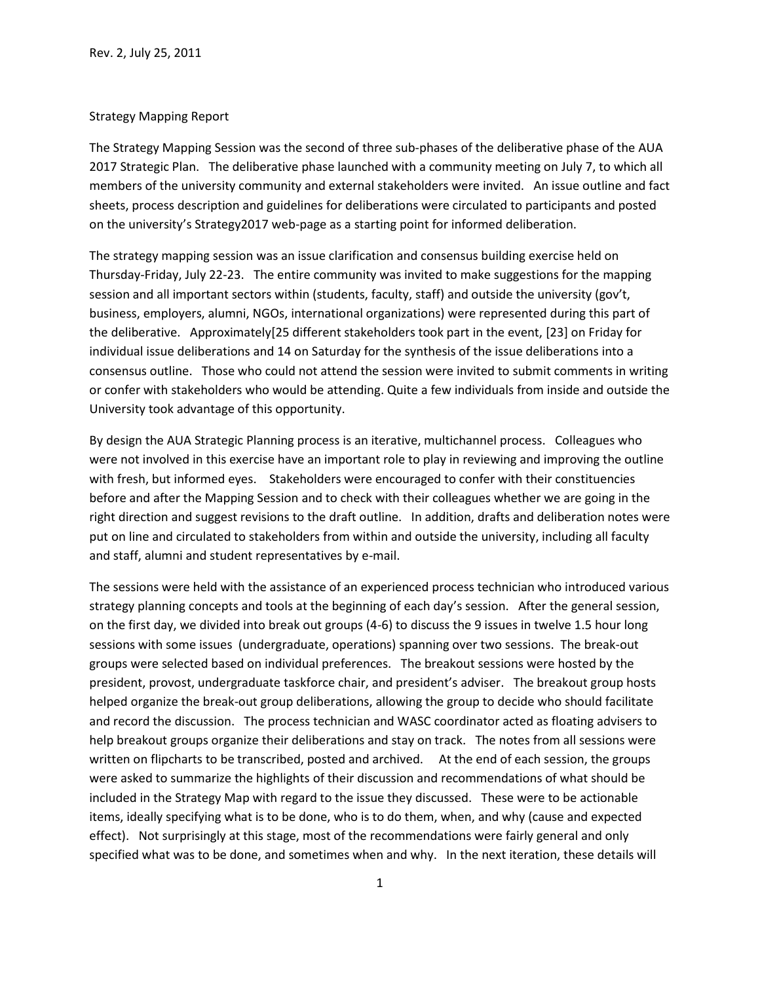## Strategy Mapping Report

The Strategy Mapping Session was the second of three sub-phases of the deliberative phase of the AUA 2017 Strategic Plan. The deliberative phase launched with a community meeting on July 7, to which all members of the university community and external stakeholders were invited. An issue outline and fact sheets, process description and guidelines for deliberations were circulated to participants and posted on the university's Strategy2017 web-page as a starting point for informed deliberation.

The strategy mapping session was an issue clarification and consensus building exercise held on Thursday-Friday, July 22-23. The entire community was invited to make suggestions for the mapping session and all important sectors within (students, faculty, staff) and outside the university (gov't, business, employers, alumni, NGOs, international organizations) were represented during this part of the deliberative. Approximately[25 different stakeholders took part in the event, [23] on Friday for individual issue deliberations and 14 on Saturday for the synthesis of the issue deliberations into a consensus outline. Those who could not attend the session were invited to submit comments in writing or confer with stakeholders who would be attending. Quite a few individuals from inside and outside the University took advantage of this opportunity.

By design the AUA Strategic Planning process is an iterative, multichannel process. Colleagues who were not involved in this exercise have an important role to play in reviewing and improving the outline with fresh, but informed eyes. Stakeholders were encouraged to confer with their constituencies before and after the Mapping Session and to check with their colleagues whether we are going in the right direction and suggest revisions to the draft outline. In addition, drafts and deliberation notes were put on line and circulated to stakeholders from within and outside the university, including all faculty and staff, alumni and student representatives by e-mail.

The sessions were held with the assistance of an experienced process technician who introduced various strategy planning concepts and tools at the beginning of each day's session. After the general session, on the first day, we divided into break out groups (4-6) to discuss the 9 issues in twelve 1.5 hour long sessions with some issues (undergraduate, operations) spanning over two sessions. The break-out groups were selected based on individual preferences. The breakout sessions were hosted by the president, provost, undergraduate taskforce chair, and president's adviser. The breakout group hosts helped organize the break-out group deliberations, allowing the group to decide who should facilitate and record the discussion. The process technician and WASC coordinator acted as floating advisers to help breakout groups organize their deliberations and stay on track. The notes from all sessions were written on flipcharts to be transcribed, posted and archived. At the end of each session, the groups were asked to summarize the highlights of their discussion and recommendations of what should be included in the Strategy Map with regard to the issue they discussed. These were to be actionable items, ideally specifying what is to be done, who is to do them, when, and why (cause and expected effect). Not surprisingly at this stage, most of the recommendations were fairly general and only specified what was to be done, and sometimes when and why. In the next iteration, these details will